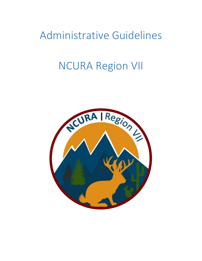# Administrative Guidelines

# NCURA Region VII

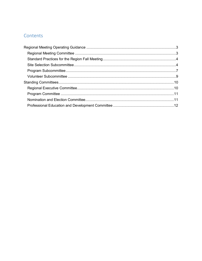### Contents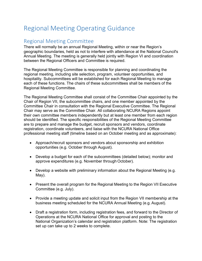## <span id="page-2-0"></span>Regional Meeting Operating Guidance

## <span id="page-2-1"></span>Regional Meeting Committee

There will normally be an annual Regional Meeting, within or near the Region's geographic boundaries, held as not to interfere with attendance at the National Council's Annual Meeting. The meeting is generally held jointly with Region VI and coordination between the Regional Officers and Committee is required.

The Regional Meeting Committee is responsible for planning and coordinating the regional meeting, including site selection, program, volunteer opportunities, and hospitality. Subcommittees will be established for each Regional Meeting to manage each of these functions. The chairs of these subcommittees shall be members of the Regional Meeting Committee.

The Regional Meeting Committee shall consist of the Committee Chair appointed by the Chair of Region VII, the subcommittee chairs, and one member appointed by the Committee Chair in consultation with the Regional Executive Committee. The Regional Chair may serve as the Committee Chair. All collaborating NCURA Regions appoint their own committee members independently but at least one member from each region should be identified. The specific responsibilities of the Regional Meeting Committee are to prepare and manage the budget, recruit sponsors and vendors, coordinate registration, coordinate volunteers, and liaise with the NCURA National Office professional meeting staff (timeline based on an October meeting and as approximate):

- Approach/recruit sponsors and vendors about sponsorship and exhibition opportunities (e.g. October through August).
- Develop a budget for each of the subcommittees (detailed below); monitor and approve expenditures (e.g. November through October).
- Develop a website with preliminary information about the Regional Meeting (e.g. May).
- Present the overall program for the Regional Meeting to the Region VII Executive Committee (e.g. July).
- Provide a meeting update and solicit input from the Region VII membership at the business meeting scheduled for the NCURA Annual Meeting (e.g. August).
- Draft a registration form, including registration fees, and forward to the Director of Operations at the NCURA National Office for approval and posting to the National Organization's calendar and registration platform. Note: The registration set up can take up to 2 weeks to complete.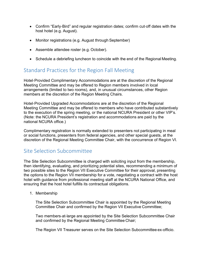- Confirm "Early‐Bird" and regular registration dates; confirm cut‐off dates with the host hotel (e.g. August).
- Monitor registrations (e.g. August through September)
- Assemble attendee roster (e.g. October).
- Schedule a debriefing luncheon to coincide with the end of the Regional Meeting.

## <span id="page-3-0"></span>Standard Practices for the Region Fall Meeting

Hotel‐Provided Complimentary Accommodations are at the discretion of the Regional Meeting Committee and may be offered to Region members involved in local arrangements (limited to two rooms), and, in unusual circumstances, other Region members at the discretion of the Region Meeting Chairs.

Hotel‐Provided Upgraded Accommodations are at the discretion of the Regional Meeting Committee and may be offered to members who have contributed substantively to the execution of the spring meeting, or the national NCURA President or other VIP's. (Note: the NCURA President's registration and accommodations are paid by the national NCURA office.)

Complimentary registration is normally extended to presenters not participating in meal or social functions, presenters from federal agencies, and other special guests, at the discretion of the Regional Meeting Committee Chair, with the concurrence of Region VI.

## <span id="page-3-1"></span>Site Selection Subcommittee

The Site Selection Subcommittee is charged with soliciting input from the membership, then identifying, evaluating, and prioritizing potential sites, recommending a minimum of two possible sites to the Region VII Executive Committee for their approval, presenting the options to the Region VII membership for a vote, negotiating a contract with the host hotel with guidance from professional meeting staff at the NCURA National Office, and ensuring that the host hotel fulfills its contractual obligations.

1. Membership

The Site Selection Subcommittee Chair is appointed by the Regional Meeting Committee Chair and confirmed by the Region VII Executive Committee;

Two members‐at‐large are appointed by the Site Selection Subcommittee Chair and confirmed by the Regional Meeting Committee Chair;

The Region VII Treasurer serves on the Site Selection Subcommittee ex‐officio.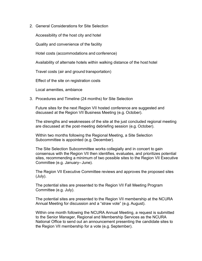2. General Considerations for Site Selection

Accessibility of the host city and hotel

Quality and convenience of the facility

Hotel costs (accommodations and conference)

Availability of alternate hotels within walking distance of the host hotel

Travel costs (air and ground transportation)

Effect of the site on registration costs

Local amenities, ambiance

3. Procedures and Timeline (24 months) for Site Selection

Future sites for the next Region VII hosted conference are suggested and discussed at the Region VII Business Meeting (e.g. October).

The strengths and weaknesses of the site at the just concluded regional meeting are discussed at the post‐meeting debriefing session (e.g. October).

Within two months following the Regional Meeting, a Site Selection Subcommittee is appointed (e.g. December).

The Site Selection Subcommittee works collegially and in concert to gain consensus with the Region VII then identifies, evaluates, and prioritizes potential sites, recommending a minimum of two possible sites to the Region VII Executive Committee (e.g. January– June).

The Region VII Executive Committee reviews and approves the proposed sites (July).

The potential sites are presented to the Region VII Fall Meeting Program Committee (e.g. July).

The potential sites are presented to the Region VII membership at the NCURA Annual Meeting for discussion and a "straw vote" (e.g. August).

Within one month following the NCURA Annual Meeting, a request is submitted to the Senior Manager, Regional and Membership Services as the NCURA National Office to send out an announcement presenting the candidate sites to the Region VII membership for a vote (e.g. September).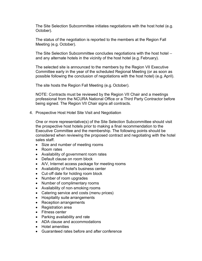The Site Selection Subcommittee initiates negotiations with the host hotel (e.g. October).

The status of the negotiation is reported to the members at the Region Fall Meeting (e.g. October).

The Site Selection Subcommittee concludes negotiations with the host hotel ‐‐ and any alternate hotels in the vicinity of the host hotel (e.g. February).

The selected site is announced to the members by the Region VII Executive Committee early in the year of the scheduled Regional Meeting (or as soon as possible following the conclusion of negotiations with the host hotel) (e.g.April).

The site hosts the Region Fall Meeting (e.g. October).

NOTE: Contracts must be reviewed by the Region VII Chair and a meetings professional from the NCURA National Office or a Third Party Contractor before being signed. The Region VII Chair signs all contracts.

4. Prospective Host Hotel Site Visit and Negotiation

One or more representative(s) of the Site Selection Subcommittee should visit the prospective host hotels prior to making a final recommendation to the Executive Committee and the membership. The following points should be considered when reviewing the proposed contract and negotiating with the hotel sales staff.

- Size and number of meeting rooms
- Room rates
- Availability of government room rates
- Default clause on room block
- A/V, Internet access package for meeting rooms
- Availability of hotel's business center
- Cut‐off date for holding room block
- Number of room upgrades
- Number of complimentary rooms
- Availability of non‐smoking rooms
- Catering service and costs (menu prices)
- Hospitality suite arrangements
- Reception arrangements
- Registration area
- Fitness center
- Parking availability and rate
- ADA clause and accommodations
- Hotel amenities
- Guaranteed rates before and after conference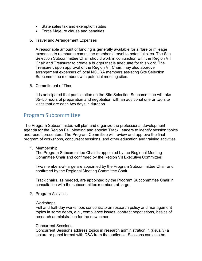- State sales tax and exemption status
- Force Majeure clause and penalties
- 5. Travel and Arrangement Expenses

A reasonable amount of funding is generally available for airfare or mileage expenses to reimburse committee members' travel to potential sites. The Site Selection Subcommittee Chair should work in conjunction with the Region VII Chair and Treasurer to create a budget that is adequate for this work. The Treasurer, upon approval of the Region VII Chair, may also approve arrangement expenses of local NCURA members assisting Site Selection Subcommittee members with potential meeting sites.

6. Commitment of Time

It is anticipated that participation on the Site Selection Subcommittee will take 35–50 hours of preparation and negotiation with an additional one or two site visits that are each two days in duration.

### <span id="page-6-0"></span>Program Subcommittee

The Program Subcommittee will plan and organize the professional development agenda for the Region Fall Meeting and appoint Track Leaders to identify session topics and recruit presenters. The Program Committee will review and approve the final program of workshops, concurrent sessions, and other education and training activities.

1. Membership

The Program Subcommittee Chair is appointed by the Regional Meeting Committee Chair and confirmed by the Region VII Executive Committee;

Two members‐at‐large are appointed by the Program Subcommittee Chair and confirmed by the Regional Meeting Committee Chair;

Track chairs, as needed, are appointed by the Program Subcommittee Chair in consultation with the subcommittee members‐at‐large.

2. Program Activities

#### Workshops.

Full and half‐day workshops concentrate on research policy and management topics in some depth, e.g., compliance issues, contract negotiations, basics of research administration for the newcomer.

#### Concurrent Sessions.

Concurrent Sessions address topics in research administration in (usually) a lecture or panel format with Q&A from the audience. Sessions can also be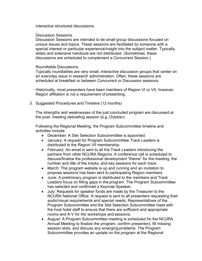interactive structured discussions.

#### Discussion Sessions.

Discussion Sessions are intended to be small group discussions focused on unique issues and topics. These sessions are facilitated by someone with a special interest or particular experience/insight into the subject matter. Typically, slides and extensive handouts are not distributed. (Sometimes, these discussions are scheduled to complement a Concurrent Session.)

#### Roundtable Discussions.

Typically roundtables are very small, interactive discussion groups that center on an everyday issue in research administration. Often, these sessions are scheduled at breakfast or between Concurrent or Discussion sessions.

Historically, most presenters have been members of Region VI or VII, however, Region affiliation is not a requirement of presenting.

3. Suggested Procedures and Timeline (12 months)

The strengths and weaknesses of the just concluded program are discussed at the post‐ meeting debriefing session (e.g. October).

Following the Regional Meeting, the Program Subcommittee timeline and activities include:

- December: A Site Selection Subcommittee is appointed.
- January: A request for Program Subcommittee Track Leaders is distributed to the Region VII membership.
- February: An email is sent to all the Track Leaders introducing the partners from other NCURA Regions. A conference call is scheduled to discuss/finalize the professional development "theme" for the meeting, the number and title of the tracks, and key sessions for each track.
- March: The program website is up and running and an invitation to propose sessions has been sent to participating Region members.
- June: A preliminary program is distributed to the members and Track Leaders focus on filling gaps in the program. The Program Subcommittee has selected and confirmed a Keynote Speaker.
- July: Requests for speaker funds are made by the Treasurer to the NCURA National Office. A request is sent to all presenters requesting their audio/visual requirements and special needs. Representatives of the Program Subcommittee and the Site Selection Subcommittee meet with the host hotel staff to ensure that there are sufficient and appropriate rooms and A‐V for the workshops and sessions.
- August: A Program Subcommittee meeting is scheduled for the NCURA Annual Meeting to finalize the program, confirm presenters, fill missing session slots, and discuss any emerging problems. The Program Subcommittee provides an update on the program at the Regional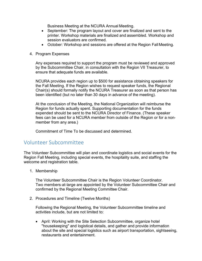Business Meeting at the NCURA Annual Meeting.

- September: The program layout and cover are finalized and sent to the printer. Workshop materials are finalized and assembled. Workshop and session evaluators are confirmed.
- October: Workshop and sessions are offered at the Region Fall Meeting.
- 4. Program Expenses

Any expenses required to support the program must be reviewed and approved by the Subcommittee Chair, in consultation with the Region VII Treasurer, to ensure that adequate funds are available.

NCURA provides each region up to \$500 for assistance obtaining speakers for the Fall Meeting. If the Region wishes to request speaker funds, the Regional Chair(s) should formally notify the NCURA Treasurer as soon as that person has been identified (but no later than 30 days in advance of the meeting).

At the conclusion of the Meeting, the National Organization will reimburse the Region for funds actually spent. Supporting documentation for the funds expended should be sent to the NCURA Director of Finance. (These speaker fees can be used for a NCURA member from outside of the Region or for a non‐ member from any area.)

Commitment of Time To be discussed and determined.

## <span id="page-8-0"></span>Volunteer Subcommittee

The Volunteer Subcommittee will plan and coordinate logistics and social events for the Region Fall Meeting, including special events, the hospitality suite, and staffing the welcome and registration table.

1. Membership

The Volunteer Subcommittee Chair is the Region Volunteer Coordinator. Two members‐at‐large are appointed by the Volunteer Subcommittee Chair and confirmed by the Regional Meeting Committee Chair.

2. Procedures and Timeline (Twelve Months)

Following the Regional Meeting, the Volunteer Subcommittee timeline and activities include, but are not limited to:

• April: Working with the Site Selection Subcommittee, organize hotel "housekeeping" and logistical details, and gather and provide information about the site and special logistics such as airport transportation, sightseeing, restaurants and entertainment.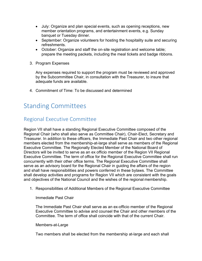- July: Organize and plan special events, such as opening receptions, new member orientation programs, and entertainment events, e.g. Sunday banquet or Tuesday dinner.
- September: Organize volunteers for hosting the hospitality suite and securing refreshments.
- October: Organize and staff the on‐site registration and welcome table; prepare the meeting packets, including the meal tickets and badge ribbons.
- 3. Program Expenses

Any expenses required to support the program must be reviewed and approved by the Subcommittee Chair, in consultation with the Treasurer, to insure that adequate funds are available.

4. Commitment of Time: To be discussed and determined

## <span id="page-9-0"></span>Standing Committees

## <span id="page-9-1"></span>Regional Executive Committee

Region VII shall have a standing Regional Executive Committee composed of the Regional Chair (who shall also serve as Committee Chair), Chair-Elect, Secretary and Treasurer. In addition to these officers, the Immediate Past Chair and two other regional members elected from the membership-at-large shall serve as members of the Regional Executive Committee. The Regionally Elected Member of the National Board of Directors will be invited to serve as an ex officio member of the Region VII Regional Executive Committee. The term of office for the Regional Executive Committee shall run concurrently with their other office terms. The Regional Executive Committee shall serve as an advisory board for the Regional Chair in guiding the affairs of the region and shall have responsibilities and powers conferred in these bylaws. The Committee shall develop activities and programs for Region VII which are consistent with the goals and objectives of the National Council and the wishes of the regional membership.

1. Responsibilities of Additional Members of the Regional Executive Committee

Immediate Past Chair

The Immediate Past Chair shall serve as an ex-officio member of the Regional Executive Committee to advise and counsel the Chair and other members of the Committee. The term of office shall coincide with that of the current Chair.

#### Members-at-Large

Two members shall be elected from the membership at-large and each shall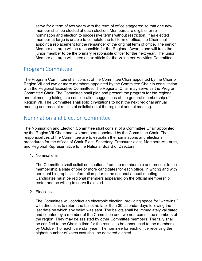serve for a term of two years with the term of office staggered so that one new member shall be elected at each election. Members are eligible for renomination and election to successive terms without restriction. If an elected member-at-large is unable to complete the full term of office, the Chair shall appoint a replacement for the remainder of the original term of office. The senior Member at Large will be responsible for the Regional Awards and will train the junior member to be the primary responsible officer for the next year. The junior Member at Large will serve as ex officio for the Volunteer Activities Committee.

## <span id="page-10-0"></span>Program Committee

The Program Committee shall consist of the Committee Chair appointed by the Chair of Region VII and two or more members appointed by the Committee Chair in consultation with the Regional Executive Committee. The Regional Chair may serve as the Program Committee Chair. The Committee shall plan and present the program for the regional annual meeting taking into consideration suggestions of the general membership of Region VII. The Committee shall solicit invitations to host the next regional annual meeting and present results of solicitation at the regional annual meeting.

## <span id="page-10-1"></span>Nomination and Election Committee

The Nomination and Election Committee shall consist of a Committee Chair appointed by the Region VII Chair and two members appointed by the Committee Chair. The responsibilities of the Committee are to establish the nominations and elections procedures for the offices of Chair-Elect, Secretary, Treasurer-elect, Members-At-Large, and Regional Representative to the National Board of Directors.

1. Nominations

The Committee shall solicit nominations from the membership and present to the membership a slate of one or more candidates for each office, in writing and with pertinent biographical information prior to the national annual meeting. Candidates must be regional members appearing on the official membership roster and be willing to serve if elected.

2. Elections

The Committee will conduct an electronic election, providing space for "write-ins," with directions to return the ballot no later than 30 calendar days following the last date on which any ballot was sent. The ballots shall be immediately validated and counted by a member of the Committee and two non-committee members of the region. They may be assisted by other Committee members. The tally shall be certified to the Chair in time for the results to be announced to the members by October 1 of each calendar year. The nominee for each office receiving the highest number of votes cast shall be declared elected.